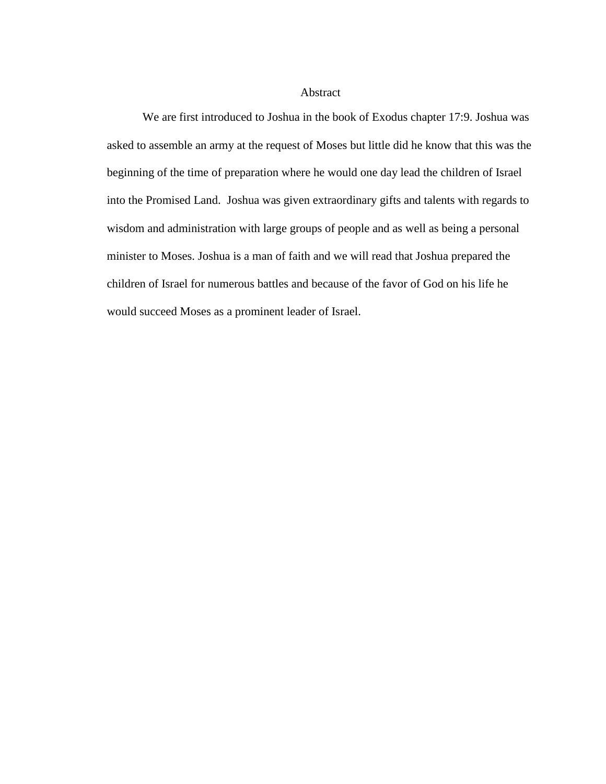## Abstract

We are first introduced to Joshua in the book of Exodus chapter 17:9. Joshua was asked to assemble an army at the request of Moses but little did he know that this was the beginning of the time of preparation where he would one day lead the children of Israel into the Promised Land. Joshua was given extraordinary gifts and talents with regards to wisdom and administration with large groups of people and as well as being a personal minister to Moses. Joshua is a man of faith and we will read that Joshua prepared the children of Israel for numerous battles and because of the favor of God on his life he would succeed Moses as a prominent leader of Israel.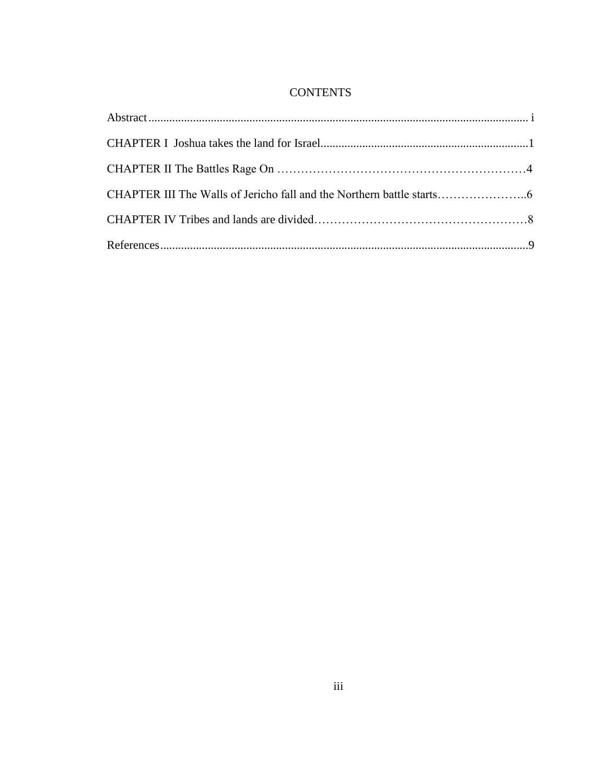# **CONTENTS**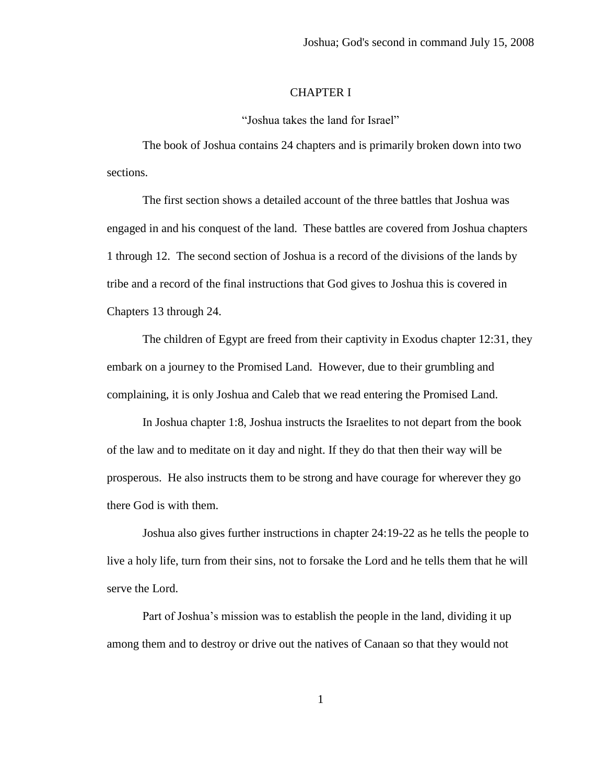## CHAPTER I

"Joshua takes the land for Israel"

The book of Joshua contains 24 chapters and is primarily broken down into two sections.

The first section shows a detailed account of the three battles that Joshua was engaged in and his conquest of the land. These battles are covered from Joshua chapters 1 through 12. The second section of Joshua is a record of the divisions of the lands by tribe and a record of the final instructions that God gives to Joshua this is covered in Chapters 13 through 24.

The children of Egypt are freed from their captivity in Exodus chapter 12:31, they embark on a journey to the Promised Land. However, due to their grumbling and complaining, it is only Joshua and Caleb that we read entering the Promised Land.

In Joshua chapter 1:8, Joshua instructs the Israelites to not depart from the book of the law and to meditate on it day and night. If they do that then their way will be prosperous. He also instructs them to be strong and have courage for wherever they go there God is with them.

Joshua also gives further instructions in chapter 24:19-22 as he tells the people to live a holy life, turn from their sins, not to forsake the Lord and he tells them that he will serve the Lord.

Part of Joshua's mission was to establish the people in the land, dividing it up among them and to destroy or drive out the natives of Canaan so that they would not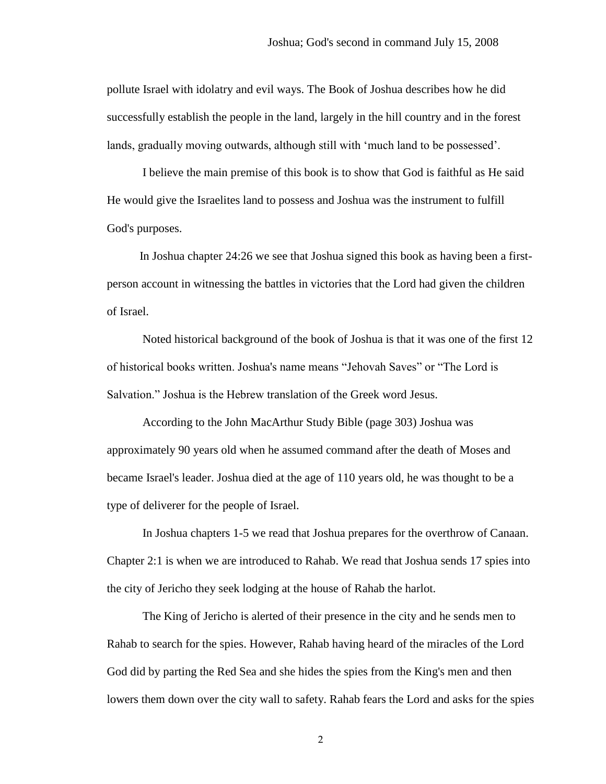pollute Israel with idolatry and evil ways. The Book of Joshua describes how he did successfully establish the people in the land, largely in the hill country and in the forest lands, gradually moving outwards, although still with 'much land to be possessed'.

I believe the main premise of this book is to show that God is faithful as He said He would give the Israelites land to possess and Joshua was the instrument to fulfill God's purposes.

 In Joshua chapter 24:26 we see that Joshua signed this book as having been a firstperson account in witnessing the battles in victories that the Lord had given the children of Israel.

Noted historical background of the book of Joshua is that it was one of the first 12 of historical books written. Joshua's name means "Jehovah Saves" or "The Lord is Salvation." Joshua is the Hebrew translation of the Greek word Jesus.

According to the John MacArthur Study Bible (page 303) Joshua was approximately 90 years old when he assumed command after the death of Moses and became Israel's leader. Joshua died at the age of 110 years old, he was thought to be a type of deliverer for the people of Israel.

In Joshua chapters 1-5 we read that Joshua prepares for the overthrow of Canaan. Chapter 2:1 is when we are introduced to Rahab. We read that Joshua sends 17 spies into the city of Jericho they seek lodging at the house of Rahab the harlot.

The King of Jericho is alerted of their presence in the city and he sends men to Rahab to search for the spies. However, Rahab having heard of the miracles of the Lord God did by parting the Red Sea and she hides the spies from the King's men and then lowers them down over the city wall to safety. Rahab fears the Lord and asks for the spies

2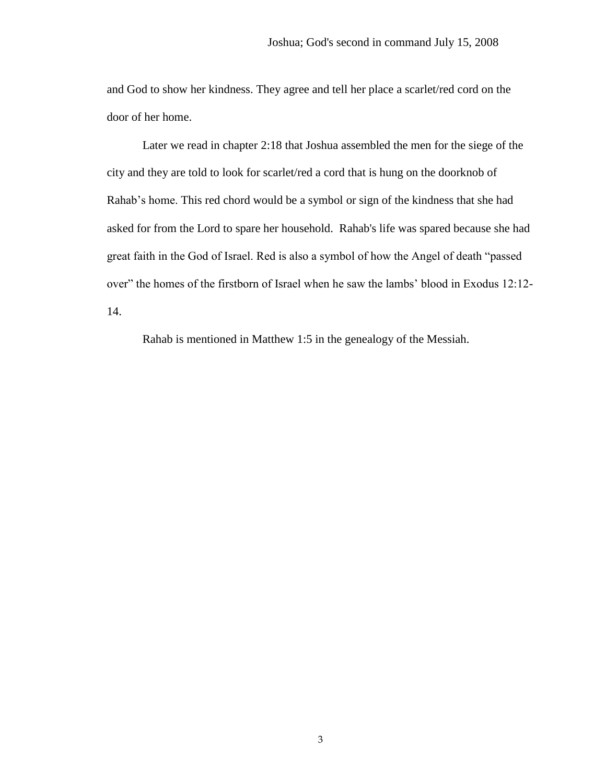and God to show her kindness. They agree and tell her place a scarlet/red cord on the door of her home.

Later we read in chapter 2:18 that Joshua assembled the men for the siege of the city and they are told to look for scarlet/red a cord that is hung on the doorknob of Rahab's home. This red chord would be a symbol or sign of the kindness that she had asked for from the Lord to spare her household. Rahab's life was spared because she had great faith in the God of Israel. Red is also a symbol of how the Angel of death "passed over" the homes of the firstborn of Israel when he saw the lambs' blood in Exodus 12:12- 14.

Rahab is mentioned in Matthew 1:5 in the genealogy of the Messiah.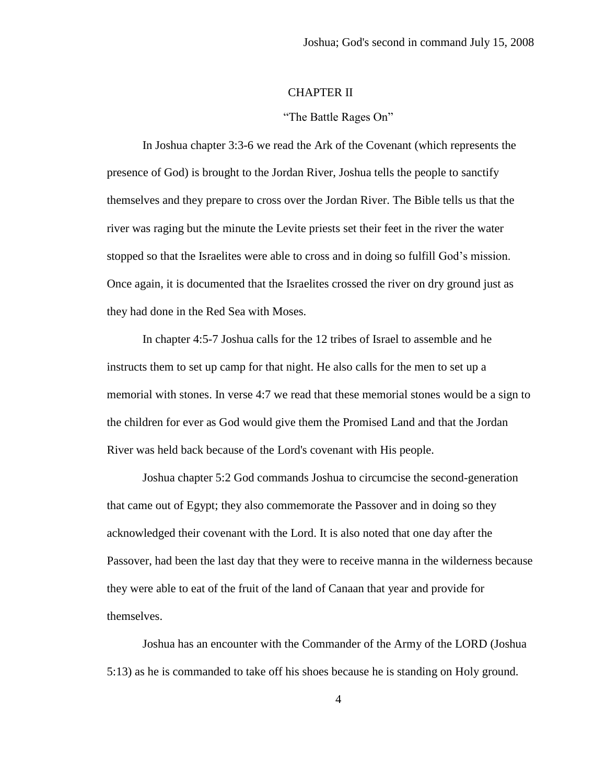# CHAPTER II

#### "The Battle Rages On"

In Joshua chapter 3:3-6 we read the Ark of the Covenant (which represents the presence of God) is brought to the Jordan River, Joshua tells the people to sanctify themselves and they prepare to cross over the Jordan River. The Bible tells us that the river was raging but the minute the Levite priests set their feet in the river the water stopped so that the Israelites were able to cross and in doing so fulfill God's mission. Once again, it is documented that the Israelites crossed the river on dry ground just as they had done in the Red Sea with Moses.

In chapter 4:5-7 Joshua calls for the 12 tribes of Israel to assemble and he instructs them to set up camp for that night. He also calls for the men to set up a memorial with stones. In verse 4:7 we read that these memorial stones would be a sign to the children for ever as God would give them the Promised Land and that the Jordan River was held back because of the Lord's covenant with His people.

Joshua chapter 5:2 God commands Joshua to circumcise the second-generation that came out of Egypt; they also commemorate the Passover and in doing so they acknowledged their covenant with the Lord. It is also noted that one day after the Passover, had been the last day that they were to receive manna in the wilderness because they were able to eat of the fruit of the land of Canaan that year and provide for themselves.

Joshua has an encounter with the Commander of the Army of the LORD (Joshua 5:13) as he is commanded to take off his shoes because he is standing on Holy ground.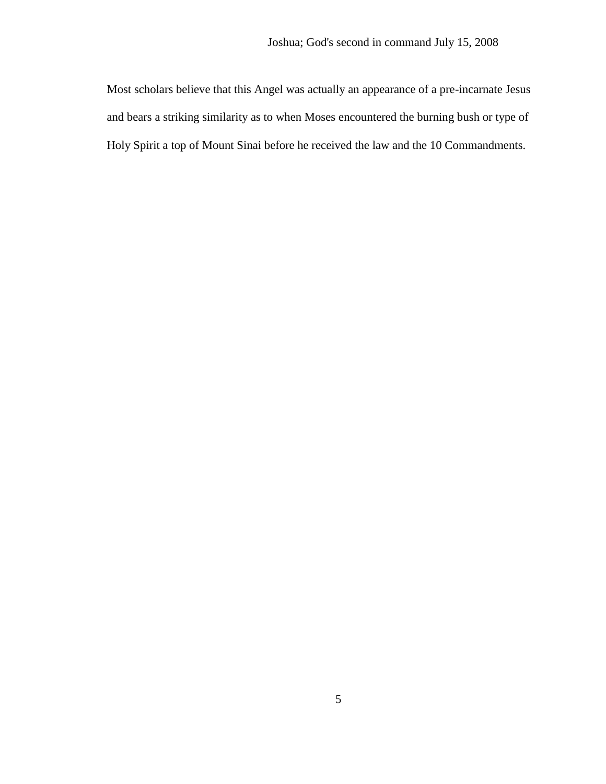Most scholars believe that this Angel was actually an appearance of a pre-incarnate Jesus and bears a striking similarity as to when Moses encountered the burning bush or type of Holy Spirit a top of Mount Sinai before he received the law and the 10 Commandments.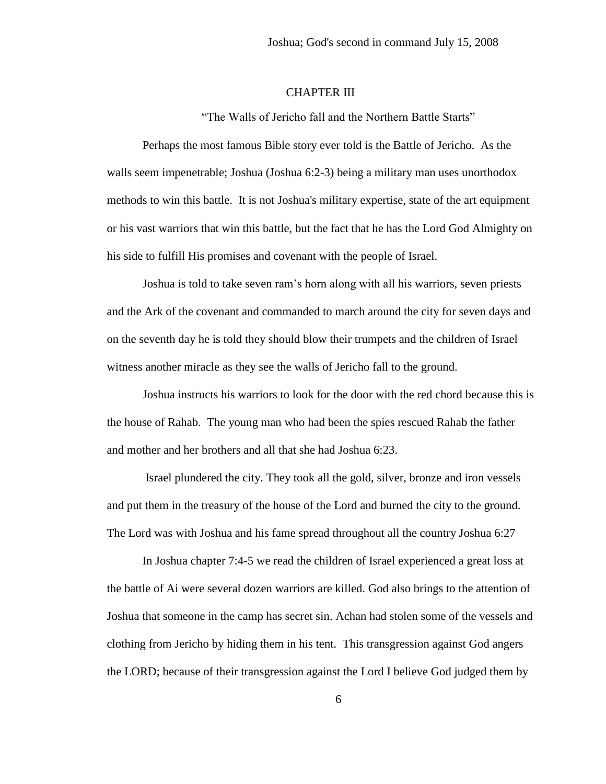## CHAPTER III

"The Walls of Jericho fall and the Northern Battle Starts"

Perhaps the most famous Bible story ever told is the Battle of Jericho. As the walls seem impenetrable; Joshua (Joshua 6:2-3) being a military man uses unorthodox methods to win this battle. It is not Joshua's military expertise, state of the art equipment or his vast warriors that win this battle, but the fact that he has the Lord God Almighty on his side to fulfill His promises and covenant with the people of Israel.

Joshua is told to take seven ram's horn along with all his warriors, seven priests and the Ark of the covenant and commanded to march around the city for seven days and on the seventh day he is told they should blow their trumpets and the children of Israel witness another miracle as they see the walls of Jericho fall to the ground.

Joshua instructs his warriors to look for the door with the red chord because this is the house of Rahab. The young man who had been the spies rescued Rahab the father and mother and her brothers and all that she had Joshua 6:23.

Israel plundered the city. They took all the gold, silver, bronze and iron vessels and put them in the treasury of the house of the Lord and burned the city to the ground. The Lord was with Joshua and his fame spread throughout all the country Joshua 6:27

In Joshua chapter 7:4-5 we read the children of Israel experienced a great loss at the battle of Ai were several dozen warriors are killed. God also brings to the attention of Joshua that someone in the camp has secret sin. Achan had stolen some of the vessels and clothing from Jericho by hiding them in his tent. This transgression against God angers the LORD; because of their transgression against the Lord I believe God judged them by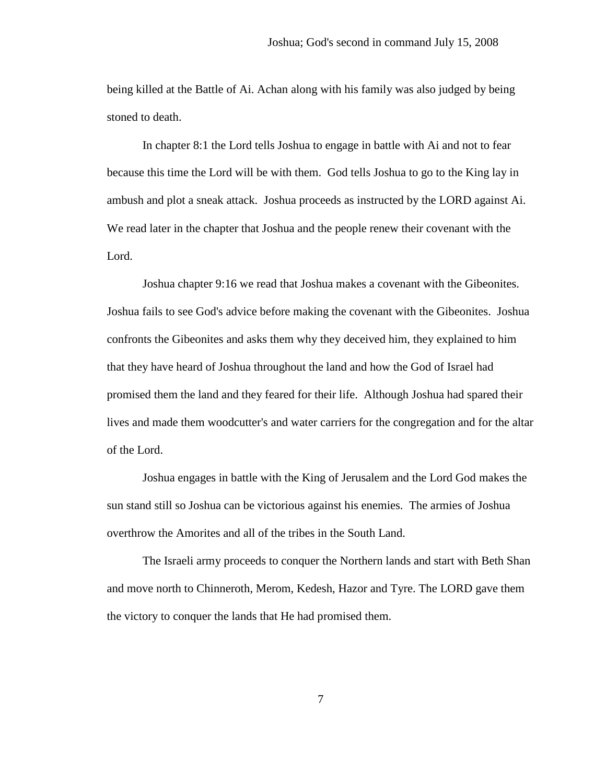being killed at the Battle of Ai. Achan along with his family was also judged by being stoned to death.

In chapter 8:1 the Lord tells Joshua to engage in battle with Ai and not to fear because this time the Lord will be with them. God tells Joshua to go to the King lay in ambush and plot a sneak attack. Joshua proceeds as instructed by the LORD against Ai. We read later in the chapter that Joshua and the people renew their covenant with the Lord.

Joshua chapter 9:16 we read that Joshua makes a covenant with the Gibeonites. Joshua fails to see God's advice before making the covenant with the Gibeonites. Joshua confronts the Gibeonites and asks them why they deceived him, they explained to him that they have heard of Joshua throughout the land and how the God of Israel had promised them the land and they feared for their life. Although Joshua had spared their lives and made them woodcutter's and water carriers for the congregation and for the altar of the Lord.

Joshua engages in battle with the King of Jerusalem and the Lord God makes the sun stand still so Joshua can be victorious against his enemies. The armies of Joshua overthrow the Amorites and all of the tribes in the South Land.

The Israeli army proceeds to conquer the Northern lands and start with Beth Shan and move north to Chinneroth, Merom, Kedesh, Hazor and Tyre. The LORD gave them the victory to conquer the lands that He had promised them.

7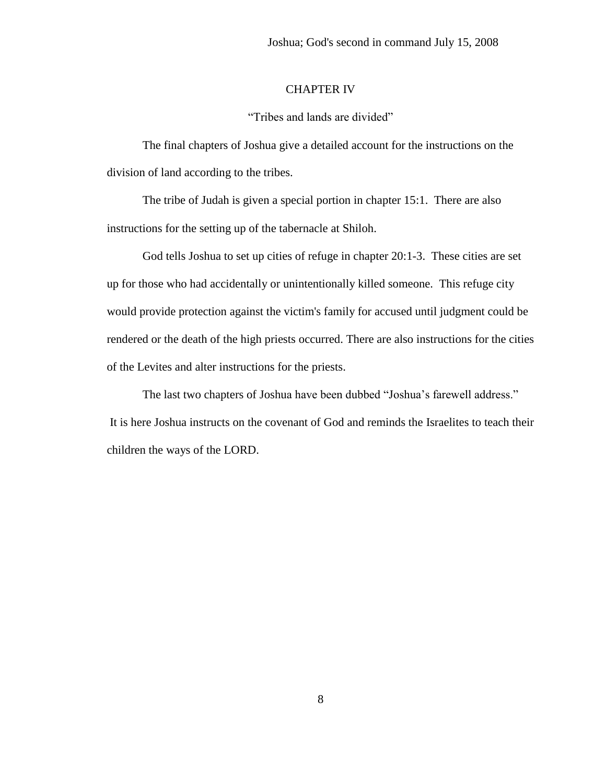## CHAPTER IV

"Tribes and lands are divided"

The final chapters of Joshua give a detailed account for the instructions on the division of land according to the tribes.

The tribe of Judah is given a special portion in chapter 15:1. There are also instructions for the setting up of the tabernacle at Shiloh.

God tells Joshua to set up cities of refuge in chapter 20:1-3. These cities are set up for those who had accidentally or unintentionally killed someone. This refuge city would provide protection against the victim's family for accused until judgment could be rendered or the death of the high priests occurred. There are also instructions for the cities of the Levites and alter instructions for the priests.

The last two chapters of Joshua have been dubbed "Joshua's farewell address." It is here Joshua instructs on the covenant of God and reminds the Israelites to teach their children the ways of the LORD.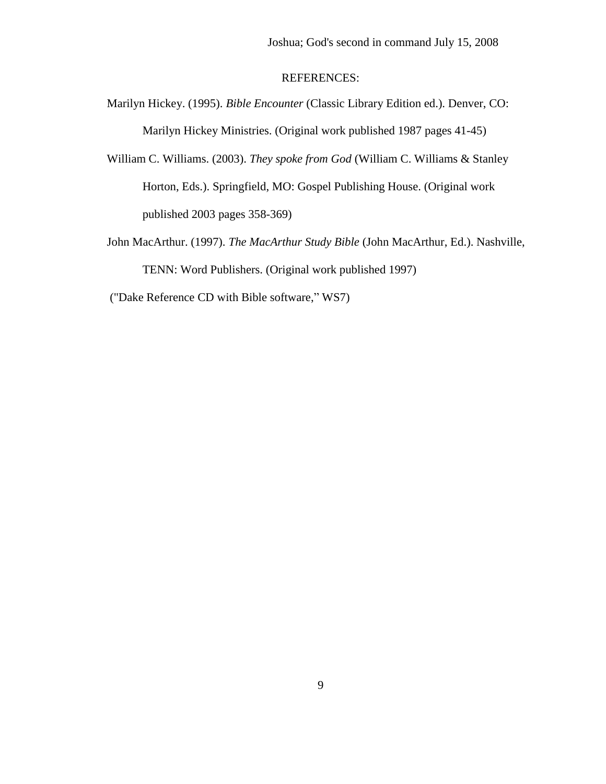## REFERENCES:

- Marilyn Hickey. (1995). *Bible Encounter* (Classic Library Edition ed.). Denver, CO: Marilyn Hickey Ministries. (Original work published 1987 pages 41-45)
- William C. Williams. (2003). *They spoke from God* (William C. Williams & Stanley Horton, Eds.). Springfield, MO: Gospel Publishing House. (Original work published 2003 pages 358-369)
- John MacArthur. (1997). *The MacArthur Study Bible* (John MacArthur, Ed.). Nashville, TENN: Word Publishers. (Original work published 1997)
- ("Dake Reference CD with Bible software," WS7)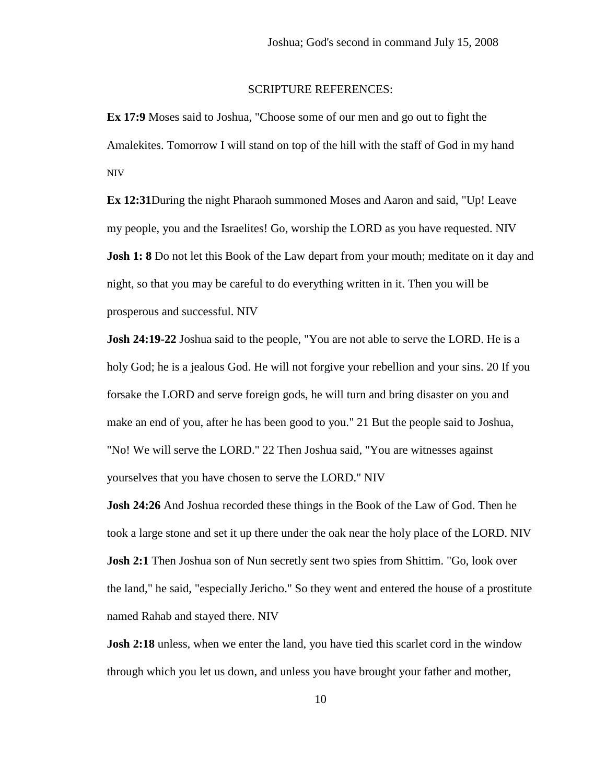#### SCRIPTURE REFERENCES:

**Ex 17:9** Moses said to Joshua, "Choose some of our men and go out to fight the Amalekites. Tomorrow I will stand on top of the hill with the staff of God in my hand NIV

**Ex 12:31**During the night Pharaoh summoned Moses and Aaron and said, "Up! Leave my people, you and the Israelites! Go, worship the LORD as you have requested. NIV **Josh 1: 8** Do not let this Book of the Law depart from your mouth; meditate on it day and night, so that you may be careful to do everything written in it. Then you will be prosperous and successful. NIV

**Josh 24:19-22** Joshua said to the people, "You are not able to serve the LORD. He is a holy God; he is a jealous God. He will not forgive your rebellion and your sins. 20 If you forsake the LORD and serve foreign gods, he will turn and bring disaster on you and make an end of you, after he has been good to you." 21 But the people said to Joshua, "No! We will serve the LORD." 22 Then Joshua said, "You are witnesses against yourselves that you have chosen to serve the LORD." NIV

**Josh 24:26** And Joshua recorded these things in the Book of the Law of God. Then he took a large stone and set it up there under the oak near the holy place of the LORD. NIV **Josh 2:1** Then Joshua son of Nun secretly sent two spies from Shittim. "Go, look over the land," he said, "especially Jericho." So they went and entered the house of a prostitute named Rahab and stayed there. NIV

**Josh 2:18** unless, when we enter the land, you have tied this scarlet cord in the window through which you let us down, and unless you have brought your father and mother,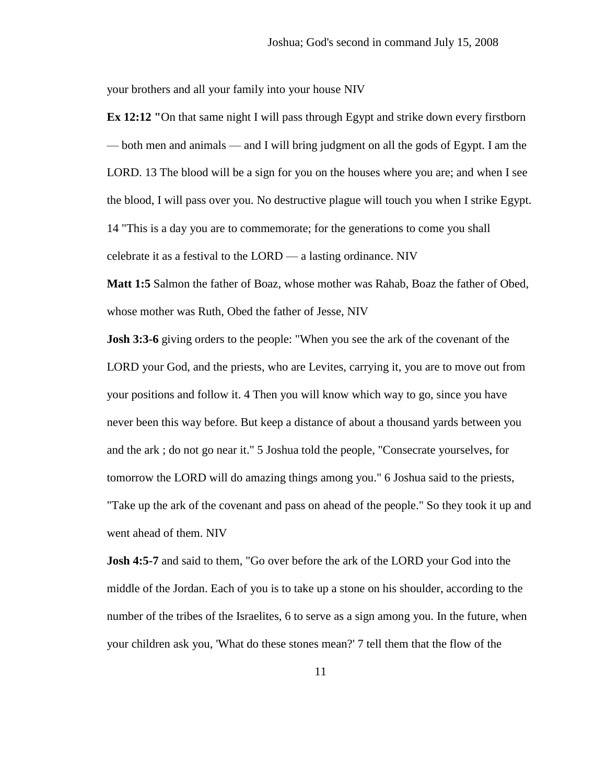your brothers and all your family into your house NIV

**Ex 12:12 "**On that same night I will pass through Egypt and strike down every firstborn — both men and animals — and I will bring judgment on all the gods of Egypt. I am the LORD. 13 The blood will be a sign for you on the houses where you are; and when I see the blood, I will pass over you. No destructive plague will touch you when I strike Egypt. 14 "This is a day you are to commemorate; for the generations to come you shall celebrate it as a festival to the LORD — a lasting ordinance. NIV

**Matt 1:5** Salmon the father of Boaz, whose mother was Rahab, Boaz the father of Obed, whose mother was Ruth, Obed the father of Jesse, NIV

**Josh 3:3-6** giving orders to the people: "When you see the ark of the covenant of the LORD your God, and the priests, who are Levites, carrying it, you are to move out from your positions and follow it. 4 Then you will know which way to go, since you have never been this way before. But keep a distance of about a thousand yards between you and the ark ; do not go near it." 5 Joshua told the people, "Consecrate yourselves, for tomorrow the LORD will do amazing things among you." 6 Joshua said to the priests, "Take up the ark of the covenant and pass on ahead of the people." So they took it up and went ahead of them. NIV

**Josh 4:5-7** and said to them, "Go over before the ark of the LORD your God into the middle of the Jordan. Each of you is to take up a stone on his shoulder, according to the number of the tribes of the Israelites, 6 to serve as a sign among you. In the future, when your children ask you, 'What do these stones mean?' 7 tell them that the flow of the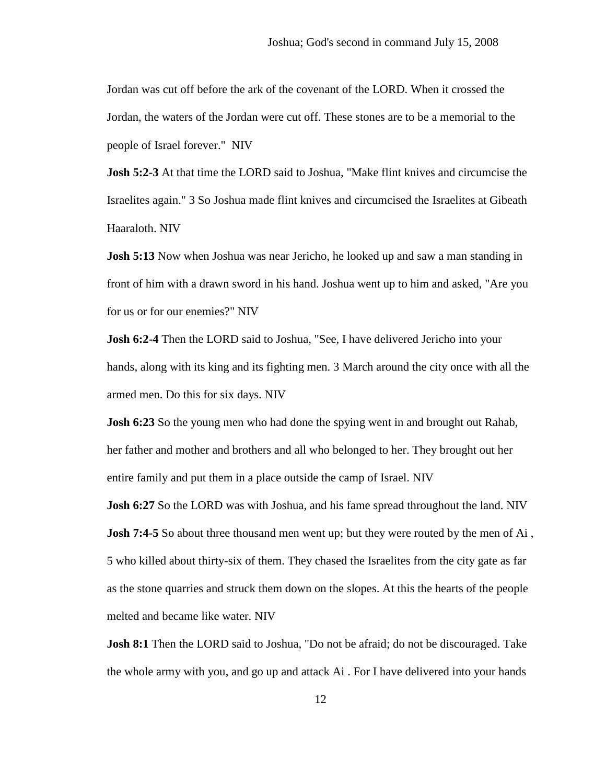Jordan was cut off before the ark of the covenant of the LORD. When it crossed the Jordan, the waters of the Jordan were cut off. These stones are to be a memorial to the people of Israel forever." NIV

**Josh 5:2-3** At that time the LORD said to Joshua, "Make flint knives and circumcise the Israelites again." 3 So Joshua made flint knives and circumcised the Israelites at Gibeath Haaraloth. NIV

**Josh 5:13** Now when Joshua was near Jericho, he looked up and saw a man standing in front of him with a drawn sword in his hand. Joshua went up to him and asked, "Are you for us or for our enemies?" NIV

**Josh 6:2-4** Then the LORD said to Joshua, "See, I have delivered Jericho into your hands, along with its king and its fighting men. 3 March around the city once with all the armed men. Do this for six days. NIV

**Josh 6:23** So the young men who had done the spying went in and brought out Rahab, her father and mother and brothers and all who belonged to her. They brought out her entire family and put them in a place outside the camp of Israel. NIV

**Josh 6:27** So the LORD was with Joshua, and his fame spread throughout the land. NIV **Josh 7:4-5** So about three thousand men went up; but they were routed by the men of Ai, 5 who killed about thirty-six of them. They chased the Israelites from the city gate as far as the stone quarries and struck them down on the slopes. At this the hearts of the people melted and became like water. NIV

**Josh 8:1** Then the LORD said to Joshua, "Do not be afraid; do not be discouraged. Take the whole army with you, and go up and attack Ai . For I have delivered into your hands